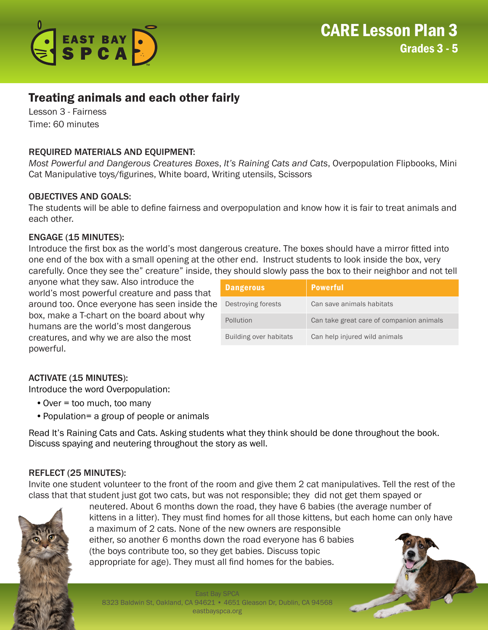

# Treating animals and each other fairly

Lesson 3 - Fairness Time: 60 minutes

## REQUIRED MATERIALS AND EQUIPMENT:

*Most Powerful and Dangerous Creatures Boxes*, *It's Raining Cats and Cats*, Overpopulation Flipbooks, Mini Cat Manipulative toys/figurines, White board, Writing utensils, Scissors

#### OBJECTIVES AND GOALS:

The students will be able to define fairness and overpopulation and know how it is fair to treat animals and each other.

#### ENGAGE (15 MINUTES):

Introduce the first box as the world's most dangerous creature. The boxes should have a mirror fitted into one end of the box with a small opening at the other end. Instruct students to look inside the box, very carefully. Once they see the" creature" inside, they should slowly pass the box to their neighbor and not tell

anyone what they saw. Also introduce the world's most powerful creature and pass that around too. Once everyone has seen inside the box, make a T-chart on the board about why humans are the world's most dangerous creatures, and why we are also the most powerful.

| <b>Dangerous</b>       | <b>Powerful</b>                          |
|------------------------|------------------------------------------|
| Destroying forests     | Can save animals habitats                |
| Pollution              | Can take great care of companion animals |
| Building over habitats | Can help injured wild animals            |

## ACTIVATE (15 MINUTES):

Introduce the word Overpopulation:

- •Over = too much, too many
- •Population= a group of people or animals

Read It's Raining Cats and Cats. Asking students what they think should be done throughout the book. Discuss spaying and neutering throughout the story as well.

## REFLECT (25 MINUTES):

Invite one student volunteer to the front of the room and give them 2 cat manipulatives. Tell the rest of the class that that student just got two cats, but was not responsible; they did not get them spayed or



neutered. About 6 months down the road, they have 6 babies (the average number of kittens in a litter). They must find homes for all those kittens, but each home can only have a maximum of 2 cats. None of the new owners are responsible either, so another 6 months down the road everyone has 6 babies (the boys contribute too, so they get babies. Discuss topic appropriate for age). They must all find homes for the babies.